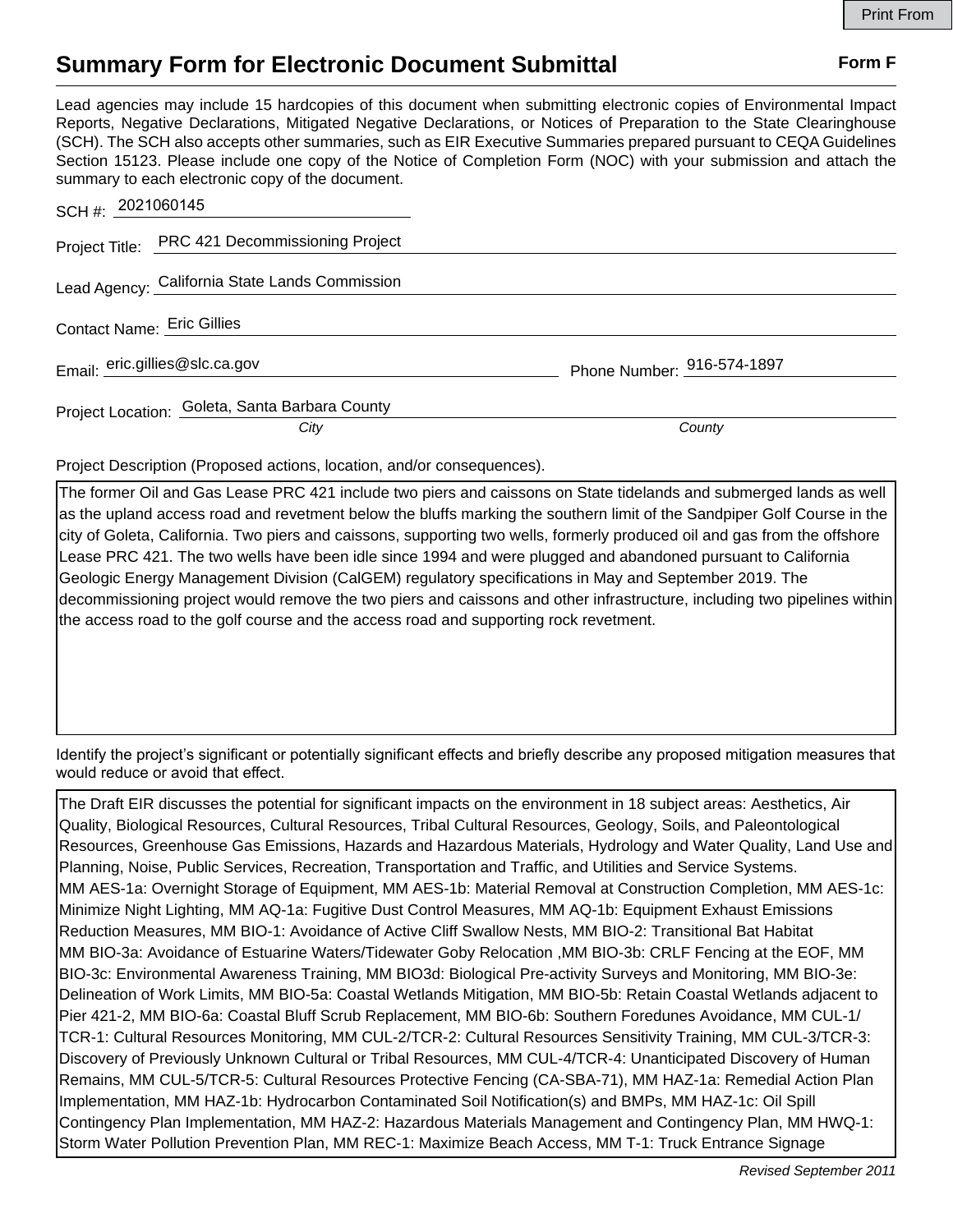## **Summary Form for Electronic Document Submittal Form F Form F**

Lead agencies may include 15 hardcopies of this document when submitting electronic copies of Environmental Impact Reports, Negative Declarations, Mitigated Negative Declarations, or Notices of Preparation to the State Clearinghouse (SCH). The SCH also accepts other summaries, such as EIR Executive Summaries prepared pursuant to CEQA Guidelines Section 15123. Please include one copy of the Notice of Completion Form (NOC) with your submission and attach the summary to each electronic copy of the document.

| SCH #: 2021060145                              |                            |
|------------------------------------------------|----------------------------|
| Project Title: PRC 421 Decommissioning Project |                            |
| Lead Agency: California State Lands Commission |                            |
| Contact Name: Eric Gillies                     |                            |
| Email: eric.gillies@slc.ca.gov                 | Phone Number: 916-574-1897 |
| Project Location: Goleta, Santa Barbara County |                            |
| City                                           | County                     |

Project Description (Proposed actions, location, and/or consequences).

The former Oil and Gas Lease PRC 421 include two piers and caissons on State tidelands and submerged lands as well as the upland access road and revetment below the bluffs marking the southern limit of the Sandpiper Golf Course in the city of Goleta, California. Two piers and caissons, supporting two wells, formerly produced oil and gas from the offshore Lease PRC 421. The two wells have been idle since 1994 and were plugged and abandoned pursuant to California Geologic Energy Management Division (CalGEM) regulatory specifications in May and September 2019. The decommissioning project would remove the two piers and caissons and other infrastructure, including two pipelines within the access road to the golf course and the access road and supporting rock revetment.

Identify the project's significant or potentially significant effects and briefly describe any proposed mitigation measures that would reduce or avoid that effect.

The Draft EIR discusses the potential for significant impacts on the environment in 18 subject areas: Aesthetics, Air Quality, Biological Resources, Cultural Resources, Tribal Cultural Resources, Geology, Soils, and Paleontological Resources, Greenhouse Gas Emissions, Hazards and Hazardous Materials, Hydrology and Water Quality, Land Use and Planning, Noise, Public Services, Recreation, Transportation and Traffic, and Utilities and Service Systems. MM AES-1a: Overnight Storage of Equipment, MM AES-1b: Material Removal at Construction Completion, MM AES-1c: Minimize Night Lighting, MM AQ-1a: Fugitive Dust Control Measures, MM AQ-1b: Equipment Exhaust Emissions Reduction Measures, MM BIO-1: Avoidance of Active Cliff Swallow Nests, MM BIO-2: Transitional Bat Habitat MM BIO-3a: Avoidance of Estuarine Waters/Tidewater Goby Relocation ,MM BIO-3b: CRLF Fencing at the EOF, MM BIO-3c: Environmental Awareness Training, MM BIO3d: Biological Pre-activity Surveys and Monitoring, MM BIO-3e: Delineation of Work Limits, MM BIO-5a: Coastal Wetlands Mitigation, MM BIO-5b: Retain Coastal Wetlands adjacent to Pier 421-2, MM BIO-6a: Coastal Bluff Scrub Replacement, MM BIO-6b: Southern Foredunes Avoidance, MM CUL-1/ TCR-1: Cultural Resources Monitoring, MM CUL-2/TCR-2: Cultural Resources Sensitivity Training, MM CUL-3/TCR-3: Discovery of Previously Unknown Cultural or Tribal Resources, MM CUL-4/TCR-4: Unanticipated Discovery of Human Remains, MM CUL-5/TCR-5: Cultural Resources Protective Fencing (CA-SBA-71), MM HAZ-1a: Remedial Action Plan Implementation, MM HAZ-1b: Hydrocarbon Contaminated Soil Notification(s) and BMPs, MM HAZ-1c: Oil Spill Contingency Plan Implementation, MM HAZ-2: Hazardous Materials Management and Contingency Plan, MM HWQ-1: Storm Water Pollution Prevention Plan, MM REC-1: Maximize Beach Access, MM T-1: Truck Entrance Signage